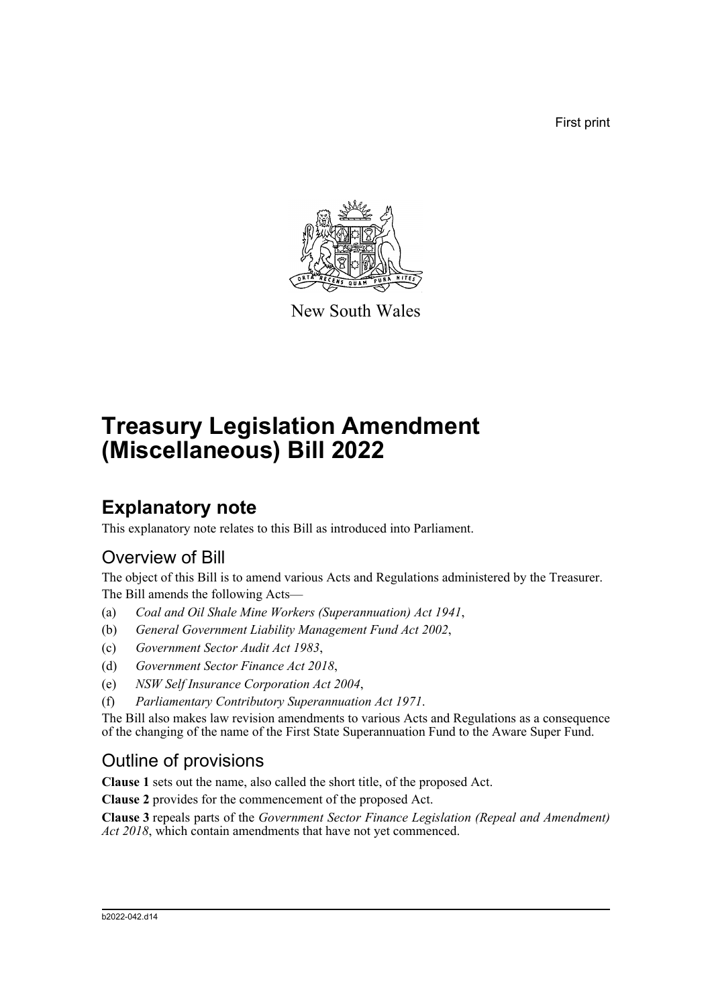First print



New South Wales

# **Treasury Legislation Amendment (Miscellaneous) Bill 2022**

## **Explanatory note**

This explanatory note relates to this Bill as introduced into Parliament.

### Overview of Bill

The object of this Bill is to amend various Acts and Regulations administered by the Treasurer. The Bill amends the following Acts—

- (a) *Coal and Oil Shale Mine Workers (Superannuation) Act 1941*,
- (b) *General Government Liability Management Fund Act 2002*,
- (c) *Government Sector Audit Act 1983*,
- (d) *Government Sector Finance Act 2018*,
- (e) *NSW Self Insurance Corporation Act 2004*,
- (f) *Parliamentary Contributory Superannuation Act 1971*.

The Bill also makes law revision amendments to various Acts and Regulations as a consequence of the changing of the name of the First State Superannuation Fund to the Aware Super Fund.

### Outline of provisions

**Clause 1** sets out the name, also called the short title, of the proposed Act.

**Clause 2** provides for the commencement of the proposed Act.

**Clause 3** repeals parts of the *Government Sector Finance Legislation (Repeal and Amendment)* Act 2018, which contain amendments that have not yet commenced.

#### b2022-042.d14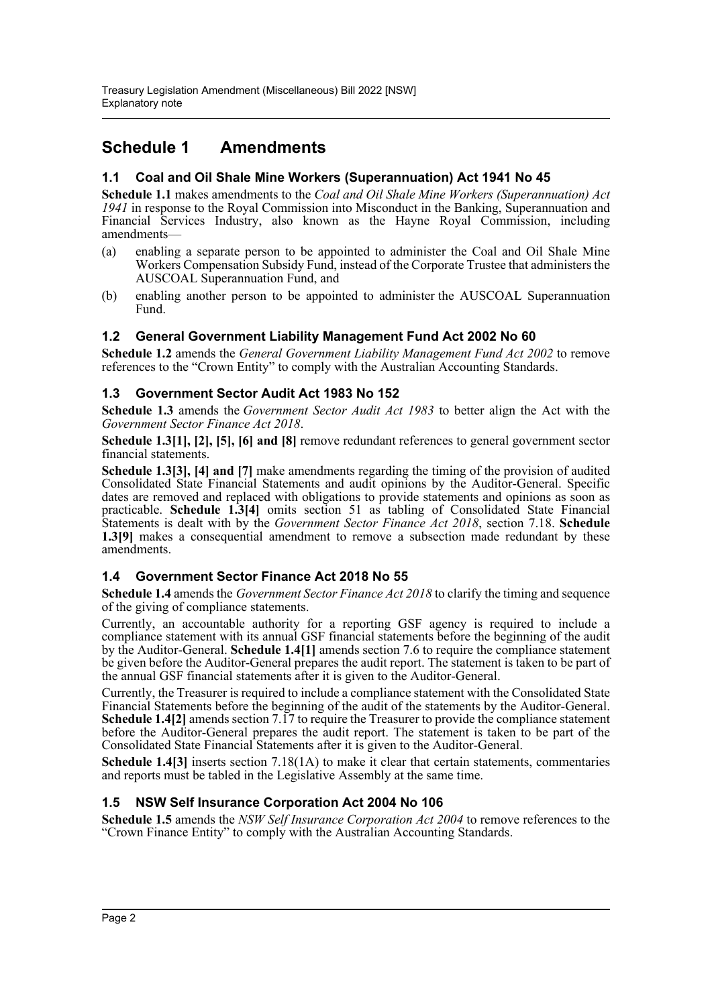### **Schedule 1 Amendments**

#### **1.1 Coal and Oil Shale Mine Workers (Superannuation) Act 1941 No 45**

**Schedule 1.1** makes amendments to the *Coal and Oil Shale Mine Workers (Superannuation) Act 1941* in response to the Royal Commission into Misconduct in the Banking, Superannuation and Financial Services Industry, also known as the Hayne Royal Commission, including amendments—

- (a) enabling a separate person to be appointed to administer the Coal and Oil Shale Mine Workers Compensation Subsidy Fund, instead of the Corporate Trustee that administers the AUSCOAL Superannuation Fund, and
- (b) enabling another person to be appointed to administer the AUSCOAL Superannuation Fund.

#### **1.2 General Government Liability Management Fund Act 2002 No 60**

**Schedule 1.2** amends the *General Government Liability Management Fund Act 2002* to remove references to the "Crown Entity" to comply with the Australian Accounting Standards.

#### **1.3 Government Sector Audit Act 1983 No 152**

**Schedule 1.3** amends the *Government Sector Audit Act 1983* to better align the Act with the *Government Sector Finance Act 2018*.

**Schedule 1.3[1], [2], [5], [6] and [8]** remove redundant references to general government sector financial statements.

**Schedule 1.3[3], [4] and [7]** make amendments regarding the timing of the provision of audited Consolidated State Financial Statements and audit opinions by the Auditor-General. Specific dates are removed and replaced with obligations to provide statements and opinions as soon as practicable. **Schedule 1.3[4]** omits section 51 as tabling of Consolidated State Financial Statements is dealt with by the *Government Sector Finance Act 2018*, section 7.18. **Schedule 1.3[9]** makes a consequential amendment to remove a subsection made redundant by these amendments.

#### **1.4 Government Sector Finance Act 2018 No 55**

**Schedule 1.4** amends the *Government Sector Finance Act 2018* to clarify the timing and sequence of the giving of compliance statements.

Currently, an accountable authority for a reporting GSF agency is required to include a compliance statement with its annual GSF financial statements before the beginning of the audit by the Auditor-General. **Schedule 1.4[1]** amends section 7.6 to require the compliance statement be given before the Auditor-General prepares the audit report. The statement is taken to be part of the annual GSF financial statements after it is given to the Auditor-General.

Currently, the Treasurer is required to include a compliance statement with the Consolidated State Financial Statements before the beginning of the audit of the statements by the Auditor-General. **Schedule 1.4[2]** amends section 7.17 to require the Treasurer to provide the compliance statement before the Auditor-General prepares the audit report. The statement is taken to be part of the Consolidated State Financial Statements after it is given to the Auditor-General.

**Schedule 1.4[3]** inserts section 7.18(1A) to make it clear that certain statements, commentaries and reports must be tabled in the Legislative Assembly at the same time.

#### **1.5 NSW Self Insurance Corporation Act 2004 No 106**

**Schedule 1.5** amends the *NSW Self Insurance Corporation Act 2004* to remove references to the "Crown Finance Entity" to comply with the Australian Accounting Standards.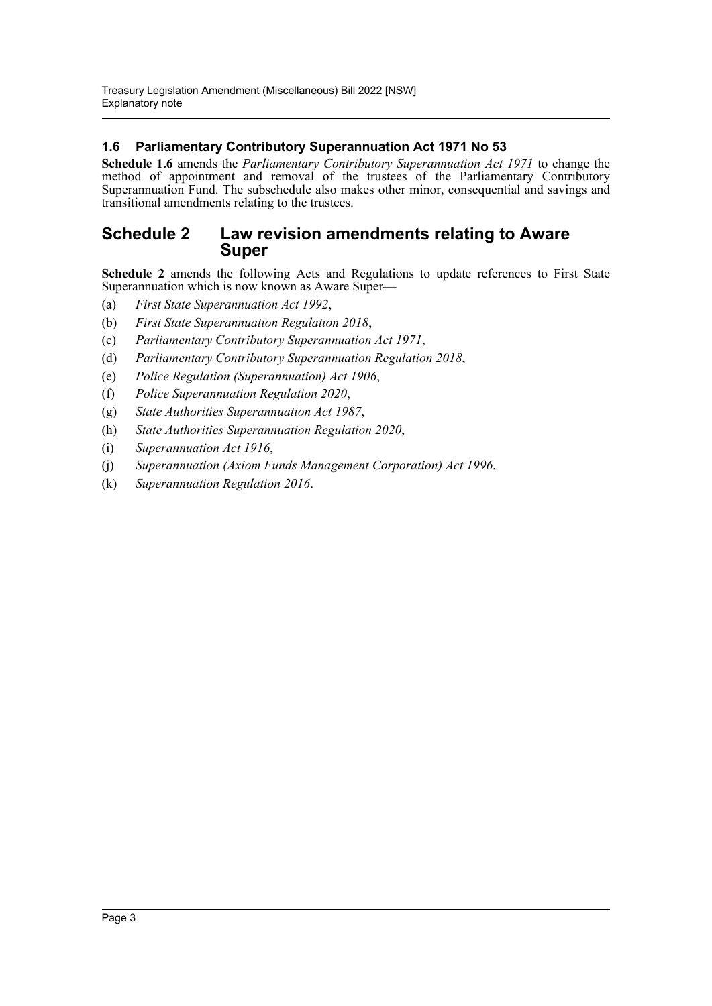#### **1.6 Parliamentary Contributory Superannuation Act 1971 No 53**

**Schedule 1.6** amends the *Parliamentary Contributory Superannuation Act 1971* to change the method of appointment and removal of the trustees of the Parliamentary Contributory Superannuation Fund. The subschedule also makes other minor, consequential and savings and transitional amendments relating to the trustees.

### **Schedule 2 Law revision amendments relating to Aware Super**

**Schedule 2** amends the following Acts and Regulations to update references to First State Superannuation which is now known as Aware Super—

- (a) *First State Superannuation Act 1992*,
- (b) *First State Superannuation Regulation 2018*,
- (c) *Parliamentary Contributory Superannuation Act 1971*,
- (d) *Parliamentary Contributory Superannuation Regulation 2018*,
- (e) *Police Regulation (Superannuation) Act 1906*,
- (f) *Police Superannuation Regulation 2020*,
- (g) *State Authorities Superannuation Act 1987*,
- (h) *State Authorities Superannuation Regulation 2020*,
- (i) *Superannuation Act 1916*,
- (j) *Superannuation (Axiom Funds Management Corporation) Act 1996*,
- (k) *Superannuation Regulation 2016*.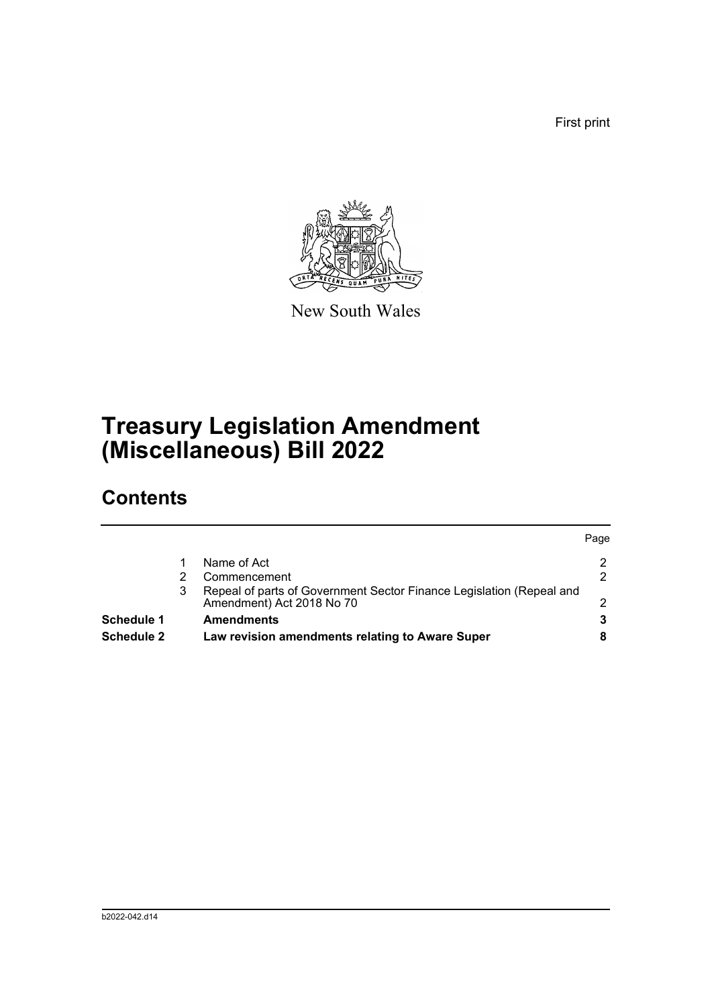First print



New South Wales

## **Treasury Legislation Amendment (Miscellaneous) Bill 2022**

## **Contents**

| Schedule 2        |   | Law revision amendments relating to Aware Super                                                   |      |
|-------------------|---|---------------------------------------------------------------------------------------------------|------|
| <b>Schedule 1</b> |   | <b>Amendments</b>                                                                                 |      |
|                   | 3 | Repeal of parts of Government Sector Finance Legislation (Repeal and<br>Amendment) Act 2018 No 70 | ົ    |
|                   |   | Commencement                                                                                      | 2    |
|                   |   | Name of Act                                                                                       | 2    |
|                   |   |                                                                                                   | Page |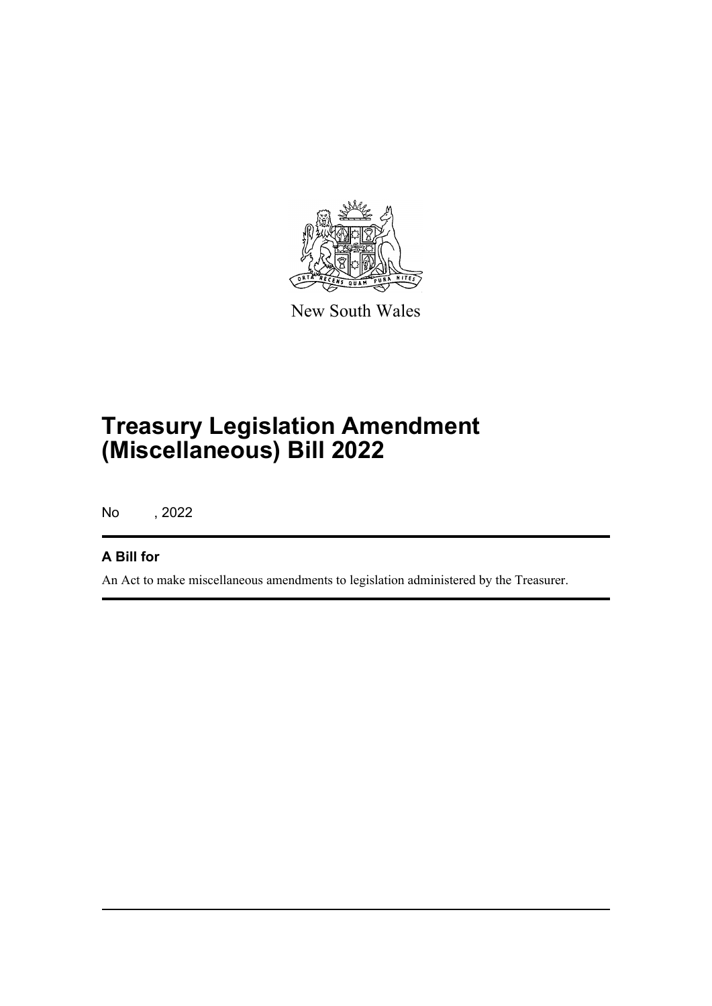

New South Wales

## **Treasury Legislation Amendment (Miscellaneous) Bill 2022**

No , 2022

### **A Bill for**

An Act to make miscellaneous amendments to legislation administered by the Treasurer.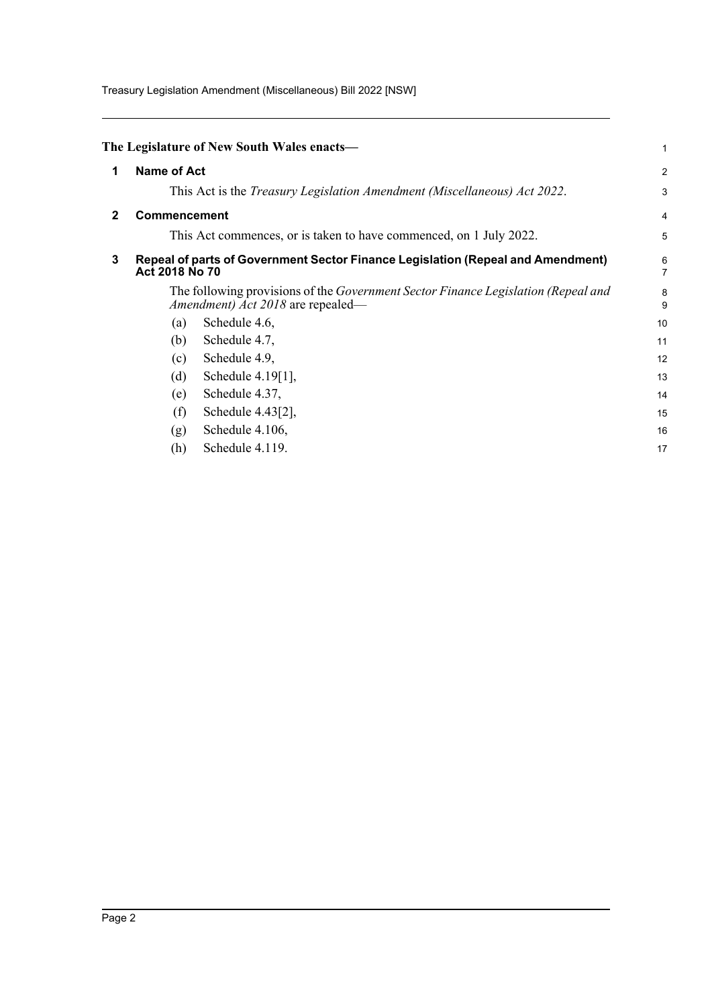Treasury Legislation Amendment (Miscellaneous) Bill 2022 [NSW]

<span id="page-5-2"></span><span id="page-5-1"></span><span id="page-5-0"></span>

|              |                     | The Legislature of New South Wales enacts—                                                                                    | 1              |
|--------------|---------------------|-------------------------------------------------------------------------------------------------------------------------------|----------------|
| 1            | <b>Name of Act</b>  |                                                                                                                               | $\overline{a}$ |
|              |                     | This Act is the <i>Treasury Legislation Amendment (Miscellaneous) Act 2022</i> .                                              | 3              |
| $\mathbf{2}$ | <b>Commencement</b> |                                                                                                                               | 4              |
|              |                     | This Act commences, or is taken to have commenced, on 1 July 2022.                                                            | 5              |
| 3            | Act 2018 No 70      | Repeal of parts of Government Sector Finance Legislation (Repeal and Amendment)                                               | 6<br>7         |
|              |                     | The following provisions of the <i>Government Sector Finance Legislation (Repeal and</i><br>Amendment) Act 2018 are repealed— | 8<br>9         |
|              | (a)                 | Schedule 4.6,                                                                                                                 | 10             |
|              | (b)                 | Schedule 4.7,                                                                                                                 | 11             |
|              | (c)                 | Schedule 4.9,                                                                                                                 | 12             |
|              | (d)                 | Schedule 4.19[1],                                                                                                             | 13             |
|              | (e)                 | Schedule 4.37,                                                                                                                | 14             |
|              | (f)                 | Schedule 4.43[2],                                                                                                             | 15             |
|              | (g)                 | Schedule 4.106,                                                                                                               | 16             |
|              | (h)                 | Schedule 4.119.                                                                                                               | 17             |
|              |                     |                                                                                                                               |                |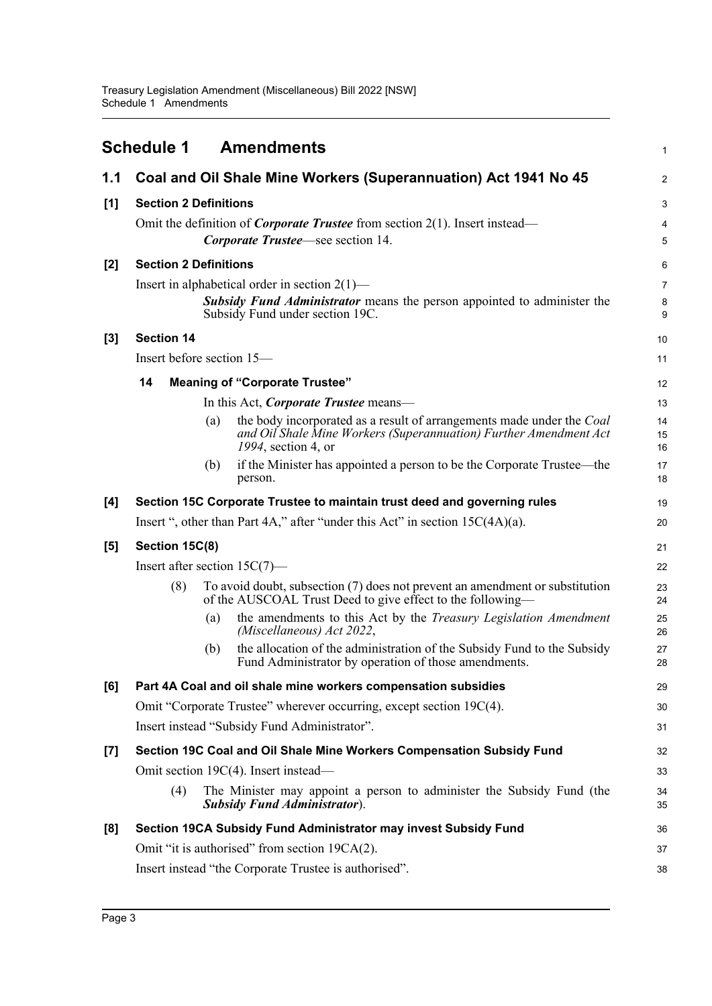<span id="page-6-0"></span>

|       | <b>Schedule 1</b>               |     | <b>Amendments</b>                                                                                                                                                     | 1              |
|-------|---------------------------------|-----|-----------------------------------------------------------------------------------------------------------------------------------------------------------------------|----------------|
| 1.1   |                                 |     | Coal and Oil Shale Mine Workers (Superannuation) Act 1941 No 45                                                                                                       | $\overline{2}$ |
| [1]   | <b>Section 2 Definitions</b>    |     |                                                                                                                                                                       | 3              |
|       |                                 |     | Omit the definition of <i>Corporate Trustee</i> from section $2(1)$ . Insert instead—<br>Corporate Trustee—see section 14.                                            | 4<br>5         |
| [2]   | <b>Section 2 Definitions</b>    |     |                                                                                                                                                                       | 6              |
|       |                                 |     | Insert in alphabetical order in section $2(1)$ —<br><b>Subsidy Fund Administrator</b> means the person appointed to administer the<br>Subsidy Fund under section 19C. | 7<br>8<br>9    |
| $[3]$ | <b>Section 14</b>               |     |                                                                                                                                                                       | 10             |
|       | Insert before section 15—       |     |                                                                                                                                                                       | 11             |
|       | 14                              |     | <b>Meaning of "Corporate Trustee"</b>                                                                                                                                 | 12             |
|       |                                 |     | In this Act, <i>Corporate Trustee</i> means—                                                                                                                          | 13             |
|       |                                 | (a) | the body incorporated as a result of arrangements made under the Coal<br>and Oil Shale Mine Workers (Superannuation) Further Amendment Act<br>1994, section 4, or     | 14<br>15<br>16 |
|       |                                 | (b) | if the Minister has appointed a person to be the Corporate Trustee—the<br>person.                                                                                     | 17<br>18       |
| [4]   |                                 |     | Section 15C Corporate Trustee to maintain trust deed and governing rules                                                                                              | 19             |
|       |                                 |     | Insert ", other than Part 4A," after "under this Act" in section $15C(4A)(a)$ .                                                                                       | 20             |
| [5]   | Section 15C(8)                  |     |                                                                                                                                                                       | 21             |
|       | Insert after section $15C(7)$ — |     |                                                                                                                                                                       | 22             |
|       | (8)                             |     | To avoid doubt, subsection (7) does not prevent an amendment or substitution<br>of the AUSCOAL Trust Deed to give effect to the following—                            | 23<br>24       |
|       |                                 | (a) | the amendments to this Act by the <i>Treasury Legislation Amendment</i><br>(Miscellaneous) Act 2022,                                                                  | 25<br>26       |
|       |                                 | (b) | the allocation of the administration of the Subsidy Fund to the Subsidy<br>Fund Administrator by operation of those amendments.                                       | 27<br>28       |
| [6]   |                                 |     | Part 4A Coal and oil shale mine workers compensation subsidies                                                                                                        | 29             |
|       |                                 |     | Omit "Corporate Trustee" wherever occurring, except section 19C(4).                                                                                                   | 30             |
|       |                                 |     | Insert instead "Subsidy Fund Administrator".                                                                                                                          | 31             |
| $[7]$ |                                 |     | Section 19C Coal and Oil Shale Mine Workers Compensation Subsidy Fund                                                                                                 | 32             |
|       |                                 |     | Omit section 19C(4). Insert instead—                                                                                                                                  | 33             |
|       | (4)                             |     | The Minister may appoint a person to administer the Subsidy Fund (the<br><b>Subsidy Fund Administrator</b> ).                                                         | 34<br>35       |
| [8]   |                                 |     | Section 19CA Subsidy Fund Administrator may invest Subsidy Fund                                                                                                       | 36             |
|       |                                 |     | Omit "it is authorised" from section 19CA(2).                                                                                                                         | 37             |
|       |                                 |     | Insert instead "the Corporate Trustee is authorised".                                                                                                                 | 38             |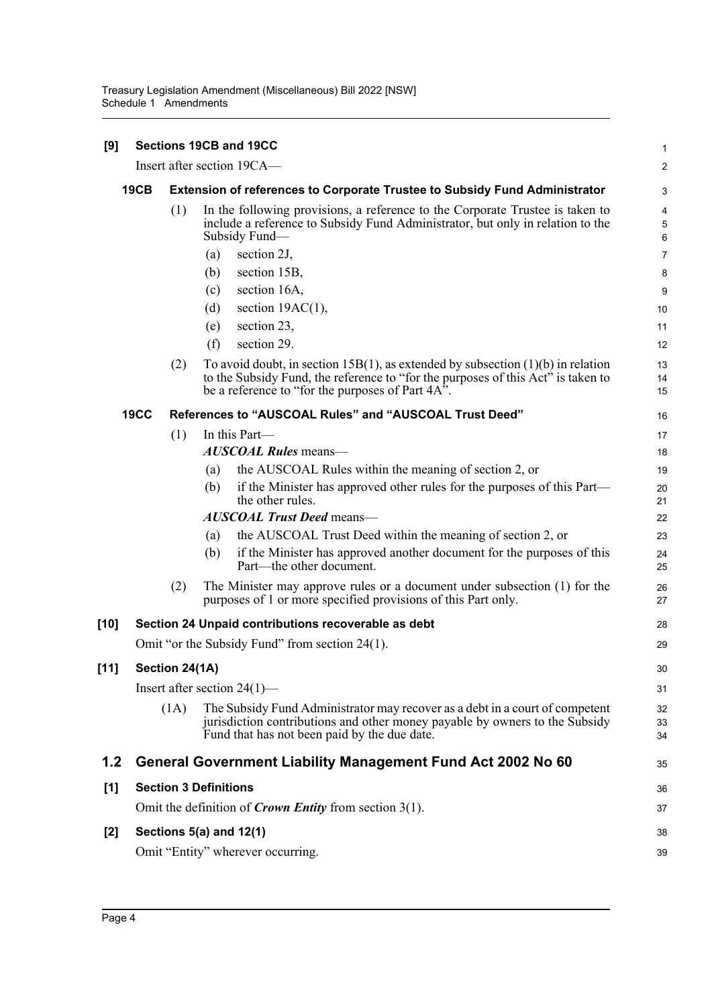| [9]    |             |                |                              | Sections 19CB and 19CC                                                                                                                                                                                                    | 1              |
|--------|-------------|----------------|------------------------------|---------------------------------------------------------------------------------------------------------------------------------------------------------------------------------------------------------------------------|----------------|
|        |             |                |                              | Insert after section 19CA-                                                                                                                                                                                                | 2              |
|        | <b>19CB</b> |                |                              | <b>Extension of references to Corporate Trustee to Subsidy Fund Administrator</b>                                                                                                                                         | 3              |
|        |             | (1)            |                              | In the following provisions, a reference to the Corporate Trustee is taken to<br>include a reference to Subsidy Fund Administrator, but only in relation to the<br>Subsidy Fund-                                          | 4<br>5<br>6    |
|        |             |                | (a)                          | section 2J,                                                                                                                                                                                                               | 7              |
|        |             |                | (b)                          | section 15B,                                                                                                                                                                                                              | 8              |
|        |             |                | (c)                          | section 16A,                                                                                                                                                                                                              | 9              |
|        |             |                | (d)                          | section $19AC(1)$ ,                                                                                                                                                                                                       | 10             |
|        |             |                | (e)                          | section 23,                                                                                                                                                                                                               | 11             |
|        |             |                | (f)                          | section 29.                                                                                                                                                                                                               | 12             |
|        |             | (2)            |                              | To avoid doubt, in section 15B(1), as extended by subsection $(1)(b)$ in relation<br>to the Subsidy Fund, the reference to "for the purposes of this Act" is taken to<br>be a reference to "for the purposes of Part 4A". | 13<br>14<br>15 |
|        | <b>19CC</b> |                |                              | References to "AUSCOAL Rules" and "AUSCOAL Trust Deed"                                                                                                                                                                    | 16             |
|        |             | (1)            |                              | In this Part-                                                                                                                                                                                                             | 17             |
|        |             |                |                              | <b>AUSCOAL Rules</b> means-                                                                                                                                                                                               | 18             |
|        |             |                | (a)                          | the AUSCOAL Rules within the meaning of section 2, or                                                                                                                                                                     | 19             |
|        |             |                | (b)                          | if the Minister has approved other rules for the purposes of this Part—<br>the other rules.                                                                                                                               | 20<br>21       |
|        |             |                |                              | <b>AUSCOAL Trust Deed means-</b>                                                                                                                                                                                          | 22             |
|        |             |                | (a)                          | the AUSCOAL Trust Deed within the meaning of section 2, or                                                                                                                                                                | 23             |
|        |             |                | (b)                          | if the Minister has approved another document for the purposes of this<br>Part—the other document.                                                                                                                        | 24<br>25       |
|        |             | (2)            |                              | The Minister may approve rules or a document under subsection (1) for the<br>purposes of 1 or more specified provisions of this Part only.                                                                                | 26<br>27       |
| [10]   |             |                |                              | Section 24 Unpaid contributions recoverable as debt                                                                                                                                                                       | 28             |
|        |             |                |                              | Omit "or the Subsidy Fund" from section 24(1).                                                                                                                                                                            | 29             |
| $[11]$ |             | Section 24(1A) |                              |                                                                                                                                                                                                                           | 30             |
|        |             |                |                              | Insert after section $24(1)$ —                                                                                                                                                                                            | 31             |
|        |             | (1A)           |                              | The Subsidy Fund Administrator may recover as a debt in a court of competent<br>jurisdiction contributions and other money payable by owners to the Subsidy<br>Fund that has not been paid by the due date.               | 32<br>33<br>34 |
| 1.2    |             |                |                              | <b>General Government Liability Management Fund Act 2002 No 60</b>                                                                                                                                                        | 35             |
| $[1]$  |             |                | <b>Section 3 Definitions</b> |                                                                                                                                                                                                                           | 36             |
|        |             |                |                              | Omit the definition of <i>Crown Entity</i> from section $3(1)$ .                                                                                                                                                          | 37             |
| [2]    |             |                |                              | Sections $5(a)$ and $12(1)$                                                                                                                                                                                               | 38             |
|        |             |                |                              | Omit "Entity" wherever occurring.                                                                                                                                                                                         | 39             |
|        |             |                |                              |                                                                                                                                                                                                                           |                |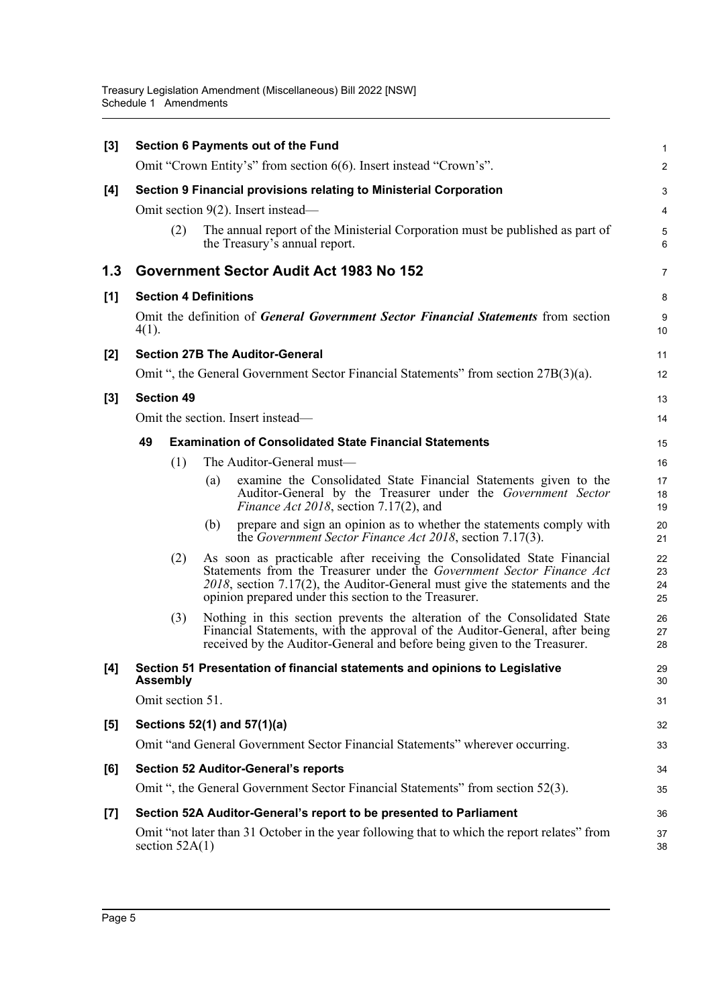| $[3]$ |          |                              |     | Section 6 Payments out of the Fund                                                                                                                                                                                                                                                          | $\mathbf{1}$         |
|-------|----------|------------------------------|-----|---------------------------------------------------------------------------------------------------------------------------------------------------------------------------------------------------------------------------------------------------------------------------------------------|----------------------|
|       |          |                              |     | Omit "Crown Entity's" from section 6(6). Insert instead "Crown's".                                                                                                                                                                                                                          | $\boldsymbol{2}$     |
| [4]   |          |                              |     | Section 9 Financial provisions relating to Ministerial Corporation                                                                                                                                                                                                                          | 3                    |
|       |          |                              |     | Omit section 9(2). Insert instead—                                                                                                                                                                                                                                                          | 4                    |
|       |          | (2)                          |     | The annual report of the Ministerial Corporation must be published as part of<br>the Treasury's annual report.                                                                                                                                                                              | 5<br>$6\phantom{1}6$ |
| 1.3   |          |                              |     | Government Sector Audit Act 1983 No 152                                                                                                                                                                                                                                                     | 7                    |
| [1]   |          | <b>Section 4 Definitions</b> |     |                                                                                                                                                                                                                                                                                             | 8                    |
|       | $4(1)$ . |                              |     | Omit the definition of <i>General Government Sector Financial Statements</i> from section                                                                                                                                                                                                   | 9<br>10              |
| $[2]$ |          |                              |     | <b>Section 27B The Auditor-General</b>                                                                                                                                                                                                                                                      | 11                   |
|       |          |                              |     | Omit ", the General Government Sector Financial Statements" from section 27B(3)(a).                                                                                                                                                                                                         | 12                   |
| $[3]$ |          | <b>Section 49</b>            |     |                                                                                                                                                                                                                                                                                             | 13                   |
|       |          |                              |     | Omit the section. Insert instead—                                                                                                                                                                                                                                                           | 14                   |
|       | 49       |                              |     | <b>Examination of Consolidated State Financial Statements</b>                                                                                                                                                                                                                               | 15                   |
|       |          | (1)                          |     | The Auditor-General must-                                                                                                                                                                                                                                                                   | 16                   |
|       |          |                              | (a) | examine the Consolidated State Financial Statements given to the<br>Auditor-General by the Treasurer under the Government Sector<br>Finance Act 2018, section 7.17(2), and                                                                                                                  | 17<br>18<br>19       |
|       |          |                              | (b) | prepare and sign an opinion as to whether the statements comply with<br>the Government Sector Finance Act 2018, section 7.17(3).                                                                                                                                                            | 20<br>21             |
|       |          | (2)                          |     | As soon as practicable after receiving the Consolidated State Financial<br>Statements from the Treasurer under the Government Sector Finance Act<br>$2018$ , section 7.17(2), the Auditor-General must give the statements and the<br>opinion prepared under this section to the Treasurer. | 22<br>23<br>24<br>25 |
|       |          | (3)                          |     | Nothing in this section prevents the alteration of the Consolidated State<br>Financial Statements, with the approval of the Auditor-General, after being<br>received by the Auditor-General and before being given to the Treasurer.                                                        | 26<br>27<br>28       |
| [4]   |          | <b>Assembly</b>              |     | Section 51 Presentation of financial statements and opinions to Legislative                                                                                                                                                                                                                 | 29<br>30             |
|       |          | Omit section 51.             |     |                                                                                                                                                                                                                                                                                             | 31                   |
| $[5]$ |          |                              |     | Sections 52(1) and 57(1)(a)                                                                                                                                                                                                                                                                 | 32                   |
|       |          |                              |     | Omit "and General Government Sector Financial Statements" wherever occurring.                                                                                                                                                                                                               | 33                   |
| [6]   |          |                              |     | <b>Section 52 Auditor-General's reports</b>                                                                                                                                                                                                                                                 | 34                   |
|       |          |                              |     | Omit ", the General Government Sector Financial Statements" from section 52(3).                                                                                                                                                                                                             | 35                   |
| $[7]$ |          |                              |     | Section 52A Auditor-General's report to be presented to Parliament                                                                                                                                                                                                                          | 36                   |
|       |          | section $52A(1)$             |     | Omit "not later than 31 October in the year following that to which the report relates" from                                                                                                                                                                                                | 37<br>38             |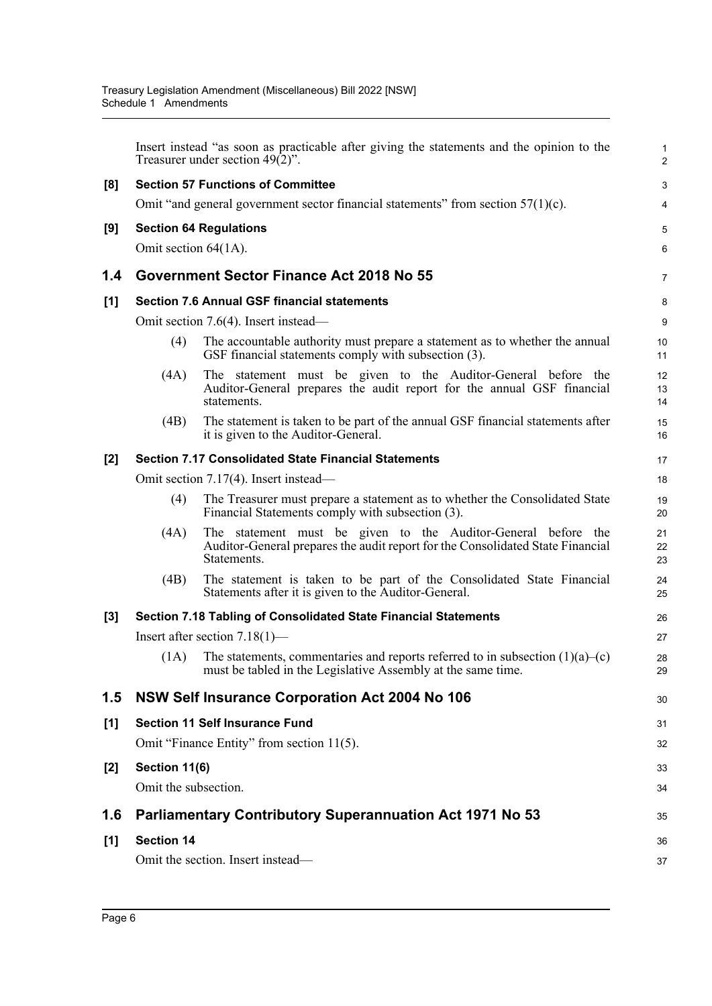|       |                      | Insert instead "as soon as practicable after giving the statements and the opinion to the<br>Treasurer under section $49(2)$ ".                                | $\mathbf 1$<br>$\overline{2}$ |
|-------|----------------------|----------------------------------------------------------------------------------------------------------------------------------------------------------------|-------------------------------|
|       |                      | <b>Section 57 Functions of Committee</b>                                                                                                                       | 3                             |
| [8]   |                      | Omit "and general government sector financial statements" from section $57(1)(c)$ .                                                                            | $\overline{\mathbf{4}}$       |
|       |                      |                                                                                                                                                                |                               |
| [9]   |                      | <b>Section 64 Regulations</b>                                                                                                                                  | 5                             |
|       | Omit section 64(1A). |                                                                                                                                                                | $6\phantom{1}6$               |
| 1.4   |                      | Government Sector Finance Act 2018 No 55                                                                                                                       | $\overline{7}$                |
| $[1]$ |                      | <b>Section 7.6 Annual GSF financial statements</b>                                                                                                             | 8                             |
|       |                      | Omit section 7.6(4). Insert instead—                                                                                                                           | $\boldsymbol{9}$              |
|       | (4)                  | The accountable authority must prepare a statement as to whether the annual<br>GSF financial statements comply with subsection (3).                            | 10<br>11                      |
|       | (4A)                 | The statement must be given to the Auditor-General before the<br>Auditor-General prepares the audit report for the annual GSF financial<br>statements.         | 12<br>13<br>14                |
|       | (4B)                 | The statement is taken to be part of the annual GSF financial statements after<br>it is given to the Auditor-General.                                          | 15<br>16                      |
| $[2]$ |                      | <b>Section 7.17 Consolidated State Financial Statements</b>                                                                                                    | 17                            |
|       |                      | Omit section 7.17(4). Insert instead—                                                                                                                          | 18                            |
|       | (4)                  | The Treasurer must prepare a statement as to whether the Consolidated State<br>Financial Statements comply with subsection (3).                                | 19<br>20                      |
|       | (4A)                 | The statement must be given to the Auditor-General before the<br>Auditor-General prepares the audit report for the Consolidated State Financial<br>Statements. | 21<br>22<br>23                |
|       | (4B)                 | The statement is taken to be part of the Consolidated State Financial<br>Statements after it is given to the Auditor-General.                                  | 24<br>25                      |
| $[3]$ |                      | Section 7.18 Tabling of Consolidated State Financial Statements                                                                                                | 26                            |
|       |                      | Insert after section $7.18(1)$ —                                                                                                                               | 27                            |
|       | (1A)                 | The statements, commentaries and reports referred to in subsection $(1)(a)$ –(c)<br>must be tabled in the Legislative Assembly at the same time.               | 28<br>29                      |
| 1.5   |                      | NSW Self Insurance Corporation Act 2004 No 106                                                                                                                 | 30                            |
| [1]   |                      | <b>Section 11 Self Insurance Fund</b>                                                                                                                          | 31                            |
|       |                      | Omit "Finance Entity" from section 11(5).                                                                                                                      | 32                            |
| $[2]$ | Section 11(6)        |                                                                                                                                                                | 33                            |
|       | Omit the subsection. |                                                                                                                                                                | 34                            |
| 1.6   |                      | <b>Parliamentary Contributory Superannuation Act 1971 No 53</b>                                                                                                | 35                            |
| [1]   | <b>Section 14</b>    |                                                                                                                                                                | 36                            |
|       |                      | Omit the section. Insert instead—                                                                                                                              | 37                            |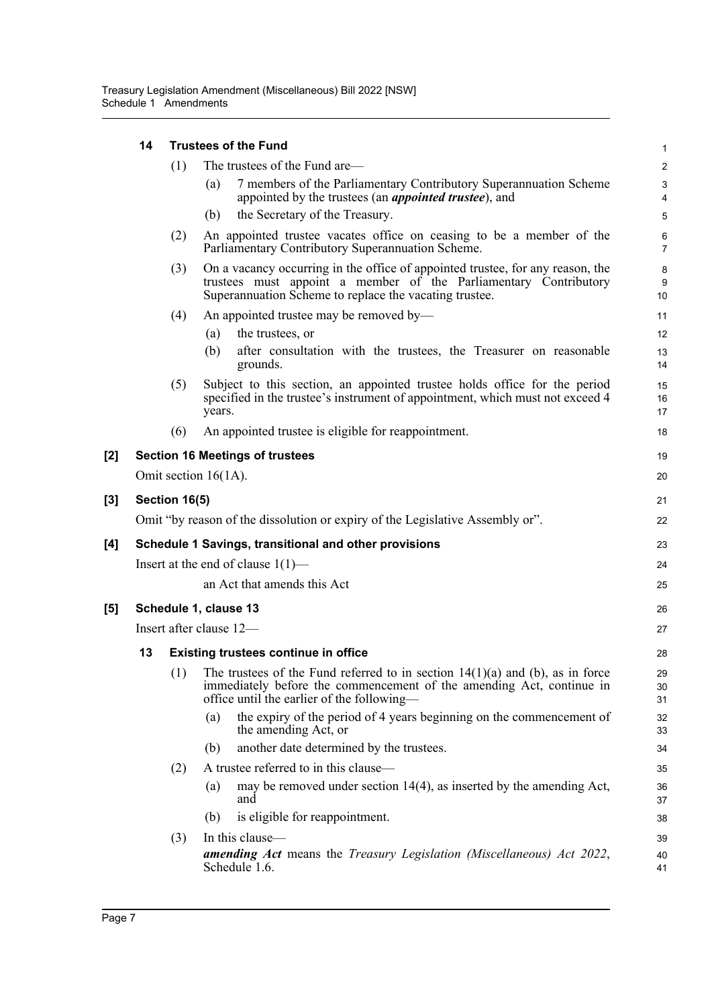|       | 14 |               | <b>Trustees of the Fund</b>                                                                                                                                                                                  | $\mathbf 1$         |
|-------|----|---------------|--------------------------------------------------------------------------------------------------------------------------------------------------------------------------------------------------------------|---------------------|
|       |    | (1)           | The trustees of the Fund are—                                                                                                                                                                                | $\boldsymbol{2}$    |
|       |    |               | 7 members of the Parliamentary Contributory Superannuation Scheme<br>(a)<br>appointed by the trustees (an <i>appointed trustee</i> ), and                                                                    | 3<br>$\overline{4}$ |
|       |    |               | the Secretary of the Treasury.<br>(b)                                                                                                                                                                        | 5                   |
|       |    | (2)           | An appointed trustee vacates office on ceasing to be a member of the<br>Parliamentary Contributory Superannuation Scheme.                                                                                    | 6<br>$\overline{7}$ |
|       |    | (3)           | On a vacancy occurring in the office of appointed trustee, for any reason, the<br>trustees must appoint a member of the Parliamentary Contributory<br>Superannuation Scheme to replace the vacating trustee. | 8<br>9<br>10        |
|       |    | (4)           | An appointed trustee may be removed by—                                                                                                                                                                      | 11                  |
|       |    |               | the trustees, or<br>(a)                                                                                                                                                                                      | 12                  |
|       |    |               | after consultation with the trustees, the Treasurer on reasonable<br>(b)<br>grounds.                                                                                                                         | 13<br>14            |
|       |    | (5)           | Subject to this section, an appointed trustee holds office for the period<br>specified in the trustee's instrument of appointment, which must not exceed 4<br>years.                                         | 15<br>16<br>17      |
|       |    | (6)           | An appointed trustee is eligible for reappointment.                                                                                                                                                          | 18                  |
| [2]   |    |               | <b>Section 16 Meetings of trustees</b>                                                                                                                                                                       | 19                  |
|       |    |               | Omit section $16(1A)$ .                                                                                                                                                                                      | 20                  |
| $[3]$ |    | Section 16(5) |                                                                                                                                                                                                              | 21                  |
|       |    |               | Omit "by reason of the dissolution or expiry of the Legislative Assembly or".                                                                                                                                | 22                  |
| [4]   |    |               | Schedule 1 Savings, transitional and other provisions                                                                                                                                                        | 23                  |
|       |    |               | Insert at the end of clause $1(1)$ —                                                                                                                                                                         | 24                  |
|       |    |               | an Act that amends this Act                                                                                                                                                                                  | 25                  |
| [5]   |    |               | Schedule 1, clause 13                                                                                                                                                                                        | 26                  |
|       |    |               | Insert after clause 12-                                                                                                                                                                                      | 27                  |
|       | 13 |               | <b>Existing trustees continue in office</b>                                                                                                                                                                  | 28                  |
|       |    | (1)           | The trustees of the Fund referred to in section $14(1)(a)$ and (b), as in force<br>immediately before the commencement of the amending Act, continue in<br>office until the earlier of the following—        | 29<br>30<br>31      |
|       |    |               | the expiry of the period of 4 years beginning on the commencement of<br>(a)<br>the amending Act, or                                                                                                          | 32<br>33            |
|       |    |               | another date determined by the trustees.<br>(b)                                                                                                                                                              | 34                  |
|       |    | (2)           | A trustee referred to in this clause—                                                                                                                                                                        | 35                  |
|       |    |               | may be removed under section 14(4), as inserted by the amending Act,<br>(a)<br>and                                                                                                                           | 36<br>37            |
|       |    |               | is eligible for reappointment.<br>(b)                                                                                                                                                                        | 38                  |
|       |    | (3)           | In this clause-                                                                                                                                                                                              | 39                  |
|       |    |               | <b>amending Act</b> means the Treasury Legislation (Miscellaneous) Act 2022,<br>Schedule 1.6.                                                                                                                | 40<br>41            |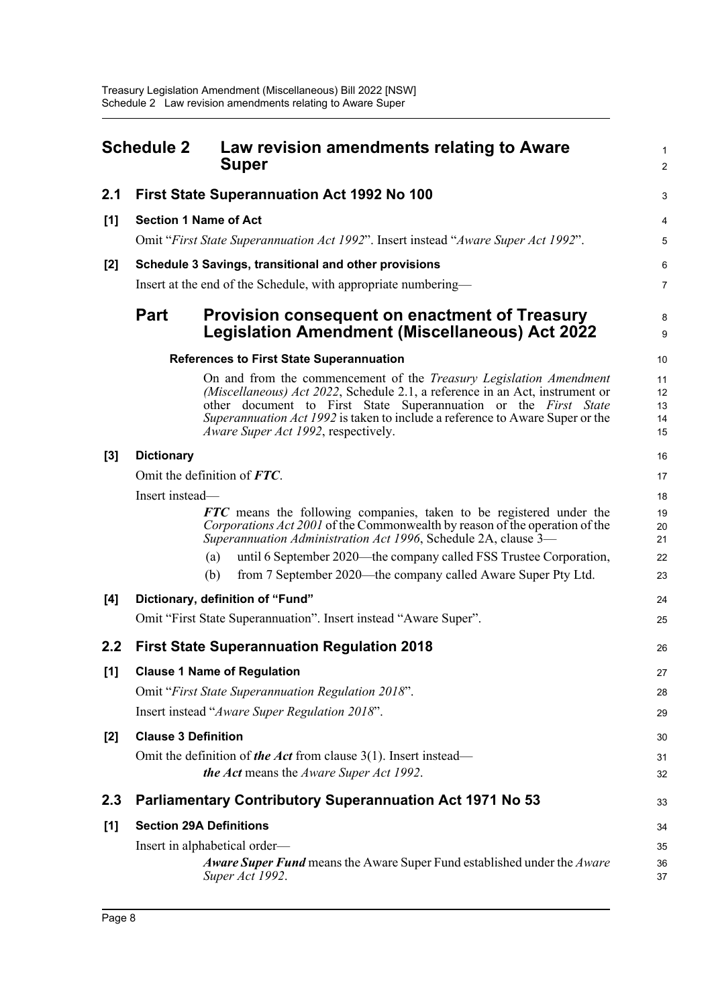<span id="page-11-0"></span>

|       | <b>Schedule 2</b>          | Law revision amendments relating to Aware<br><b>Super</b>                                                                                                                                                                                                                                                                                            | 1<br>$\overline{a}$        |
|-------|----------------------------|------------------------------------------------------------------------------------------------------------------------------------------------------------------------------------------------------------------------------------------------------------------------------------------------------------------------------------------------------|----------------------------|
| 2.1   |                            | First State Superannuation Act 1992 No 100                                                                                                                                                                                                                                                                                                           | 3                          |
| $[1]$ |                            | <b>Section 1 Name of Act</b>                                                                                                                                                                                                                                                                                                                         | 4                          |
|       |                            | Omit "First State Superannuation Act 1992". Insert instead "Aware Super Act 1992".                                                                                                                                                                                                                                                                   | 5                          |
| [2]   |                            | Schedule 3 Savings, transitional and other provisions                                                                                                                                                                                                                                                                                                | 6                          |
|       |                            | Insert at the end of the Schedule, with appropriate numbering-                                                                                                                                                                                                                                                                                       | 7                          |
|       | <b>Part</b>                | <b>Provision consequent on enactment of Treasury</b><br><b>Legislation Amendment (Miscellaneous) Act 2022</b>                                                                                                                                                                                                                                        | 8<br>9                     |
|       |                            | <b>References to First State Superannuation</b>                                                                                                                                                                                                                                                                                                      | 10                         |
|       |                            | On and from the commencement of the <i>Treasury Legislation Amendment</i><br>(Miscellaneous) Act 2022, Schedule 2.1, a reference in an Act, instrument or<br>other document to First State Superannuation or the First State<br>Superannuation Act 1992 is taken to include a reference to Aware Super or the<br>Aware Super Act 1992, respectively. | 11<br>12<br>13<br>14<br>15 |
| $[3]$ | <b>Dictionary</b>          |                                                                                                                                                                                                                                                                                                                                                      | 16                         |
|       |                            | Omit the definition of FTC.                                                                                                                                                                                                                                                                                                                          | 17                         |
|       | Insert instead-            |                                                                                                                                                                                                                                                                                                                                                      | 18                         |
|       |                            | <b>FTC</b> means the following companies, taken to be registered under the<br>Corporations Act 2001 of the Commonwealth by reason of the operation of the<br>Superannuation Administration Act 1996, Schedule 2A, clause 3—                                                                                                                          | 19<br>20<br>21             |
|       |                            | until 6 September 2020—the company called FSS Trustee Corporation,<br>(a)                                                                                                                                                                                                                                                                            | 22                         |
|       |                            | from 7 September 2020—the company called Aware Super Pty Ltd.<br>(b)                                                                                                                                                                                                                                                                                 | 23                         |
| [4]   |                            | Dictionary, definition of "Fund"                                                                                                                                                                                                                                                                                                                     | 24                         |
|       |                            | Omit "First State Superannuation". Insert instead "Aware Super".                                                                                                                                                                                                                                                                                     | 25                         |
| 2.2   |                            | <b>First State Superannuation Regulation 2018</b>                                                                                                                                                                                                                                                                                                    | 26                         |
| $[1]$ |                            | <b>Clause 1 Name of Regulation</b>                                                                                                                                                                                                                                                                                                                   | 27                         |
|       |                            | Omit "First State Superannuation Regulation 2018".                                                                                                                                                                                                                                                                                                   | 28                         |
|       |                            | Insert instead "Aware Super Regulation 2018".                                                                                                                                                                                                                                                                                                        | 29                         |
| [2]   | <b>Clause 3 Definition</b> |                                                                                                                                                                                                                                                                                                                                                      | 30                         |
|       |                            | Omit the definition of the Act from clause $3(1)$ . Insert instead—                                                                                                                                                                                                                                                                                  | 31                         |
|       |                            | the Act means the Aware Super Act 1992.                                                                                                                                                                                                                                                                                                              | 32                         |
| 2.3   |                            | <b>Parliamentary Contributory Superannuation Act 1971 No 53</b>                                                                                                                                                                                                                                                                                      | 33                         |
| [1]   |                            | <b>Section 29A Definitions</b>                                                                                                                                                                                                                                                                                                                       | 34                         |
|       |                            | Insert in alphabetical order—                                                                                                                                                                                                                                                                                                                        | 35                         |
|       |                            | Aware Super Fund means the Aware Super Fund established under the Aware<br>Super Act 1992.                                                                                                                                                                                                                                                           | 36<br>37                   |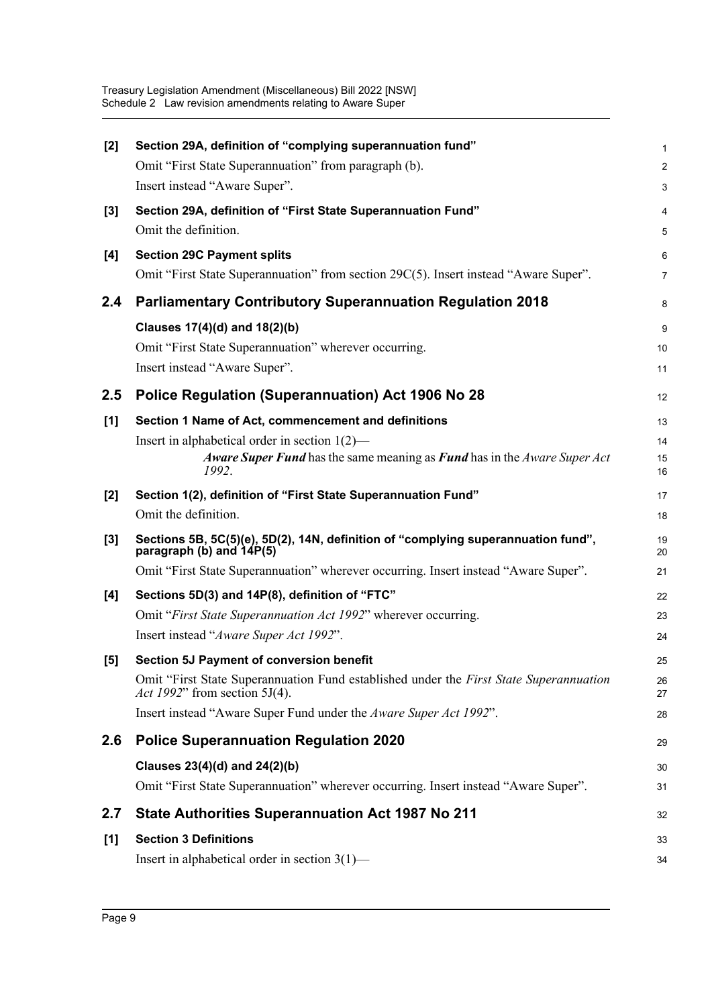| $[2]$ | Section 29A, definition of "complying superannuation fund"                                                              | $\mathbf{1}$    |
|-------|-------------------------------------------------------------------------------------------------------------------------|-----------------|
|       | Omit "First State Superannuation" from paragraph (b).                                                                   | $\overline{2}$  |
|       | Insert instead "Aware Super".                                                                                           | 3               |
| $[3]$ | Section 29A, definition of "First State Superannuation Fund"                                                            | 4               |
|       | Omit the definition.                                                                                                    | 5               |
| [4]   | <b>Section 29C Payment splits</b>                                                                                       | $6\phantom{1}6$ |
|       | Omit "First State Superannuation" from section 29C(5). Insert instead "Aware Super".                                    | $\overline{7}$  |
| 2.4   | <b>Parliamentary Contributory Superannuation Regulation 2018</b>                                                        | 8               |
|       | Clauses 17(4)(d) and 18(2)(b)                                                                                           | 9               |
|       | Omit "First State Superannuation" wherever occurring.                                                                   | 10              |
|       | Insert instead "Aware Super".                                                                                           | 11              |
| 2.5   | Police Regulation (Superannuation) Act 1906 No 28                                                                       | 12              |
| [1]   | Section 1 Name of Act, commencement and definitions                                                                     | 13              |
|       | Insert in alphabetical order in section $1(2)$ —                                                                        | 14              |
|       | Aware Super Fund has the same meaning as Fund has in the Aware Super Act<br>1992.                                       | 15<br>16        |
| [2]   | Section 1(2), definition of "First State Superannuation Fund"                                                           | 17              |
|       | Omit the definition.                                                                                                    | 18              |
| $[3]$ | Sections 5B, 5C(5)(e), 5D(2), 14N, definition of "complying superannuation fund",<br>paragraph (b) and 14P(5)           | 19<br>20        |
|       | Omit "First State Superannuation" wherever occurring. Insert instead "Aware Super".                                     | 21              |
| [4]   | Sections 5D(3) and 14P(8), definition of "FTC"                                                                          | 22              |
|       | Omit "First State Superannuation Act 1992" wherever occurring.                                                          | 23              |
|       | Insert instead "Aware Super Act 1992".                                                                                  | 24              |
| [5]   | Section 5J Payment of conversion benefit                                                                                | 25              |
|       | Omit "First State Superannuation Fund established under the First State Superannuation<br>Act 1992" from section 5J(4). | 26<br>27        |
|       | Insert instead "Aware Super Fund under the Aware Super Act 1992".                                                       | 28              |
| 2.6   | <b>Police Superannuation Regulation 2020</b>                                                                            | 29              |
|       | Clauses 23(4)(d) and 24(2)(b)                                                                                           | 30              |
|       | Omit "First State Superannuation" wherever occurring. Insert instead "Aware Super".                                     | 31              |
| 2.7   | <b>State Authorities Superannuation Act 1987 No 211</b>                                                                 | 32              |
| [1]   | <b>Section 3 Definitions</b>                                                                                            | 33              |
|       | Insert in alphabetical order in section 3(1)-                                                                           | 34              |
|       |                                                                                                                         |                 |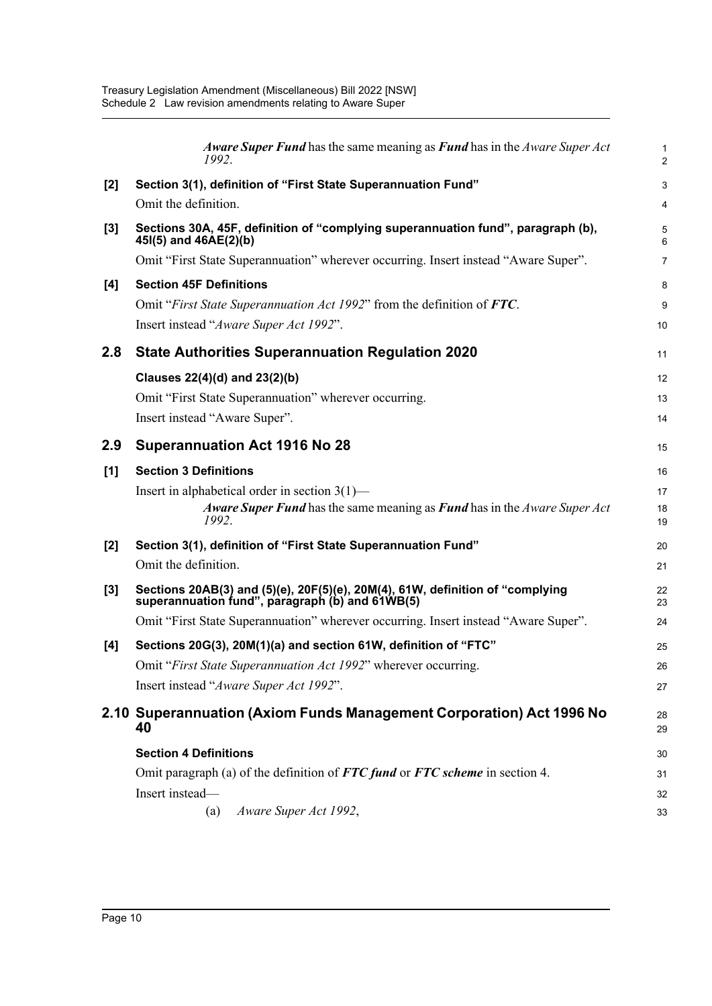|       | Aware Super Fund has the same meaning as Fund has in the Aware Super Act<br>1992.                                                     | $\mathbf{1}$<br>$\overline{c}$ |
|-------|---------------------------------------------------------------------------------------------------------------------------------------|--------------------------------|
| $[2]$ | Section 3(1), definition of "First State Superannuation Fund"                                                                         | $\mathbf{3}$                   |
|       | Omit the definition.                                                                                                                  | $\overline{\mathbf{4}}$        |
| $[3]$ | Sections 30A, 45F, definition of "complying superannuation fund", paragraph (b),<br>45(5) and 46AE(2)(b)                              | $\overline{5}$<br>6            |
|       | Omit "First State Superannuation" wherever occurring. Insert instead "Aware Super".                                                   | $\overline{7}$                 |
| [4]   | <b>Section 45F Definitions</b>                                                                                                        | 8                              |
|       | Omit "First State Superannuation Act 1992" from the definition of FTC.                                                                | 9                              |
|       | Insert instead "Aware Super Act 1992".                                                                                                | 10                             |
| 2.8   | <b>State Authorities Superannuation Regulation 2020</b>                                                                               | 11                             |
|       | Clauses 22(4)(d) and 23(2)(b)                                                                                                         | 12                             |
|       | Omit "First State Superannuation" wherever occurring.                                                                                 | 13                             |
|       | Insert instead "Aware Super".                                                                                                         | 14                             |
| 2.9   | <b>Superannuation Act 1916 No 28</b>                                                                                                  | 15                             |
| [1]   | <b>Section 3 Definitions</b>                                                                                                          | 16                             |
|       | Insert in alphabetical order in section $3(1)$ —<br>Aware Super Fund has the same meaning as Fund has in the Aware Super Act<br>1992. | 17<br>18<br>19                 |
| $[2]$ | Section 3(1), definition of "First State Superannuation Fund"                                                                         | 20                             |
|       | Omit the definition.                                                                                                                  | 21                             |
| $[3]$ | Sections 20AB(3) and (5)(e), 20F(5)(e), 20M(4), 61W, definition of "complying<br>superannuation fund", paragraph (b) and 61WB(5)      | 22<br>23                       |
|       | Omit "First State Superannuation" wherever occurring. Insert instead "Aware Super".                                                   | 24                             |
| [4]   | Sections 20G(3), 20M(1)(a) and section 61W, definition of "FTC"                                                                       | 25                             |
|       | Omit "First State Superannuation Act 1992" wherever occurring.                                                                        | 26                             |
|       | Insert instead "Aware Super Act 1992".                                                                                                | 27                             |
|       | 2.10 Superannuation (Axiom Funds Management Corporation) Act 1996 No<br>40                                                            | 28<br>29                       |
|       | <b>Section 4 Definitions</b>                                                                                                          | 30                             |
|       | Omit paragraph (a) of the definition of $FTC$ fund or $FTC$ scheme in section 4.                                                      | 31                             |
|       | Insert instead-                                                                                                                       | 32                             |
|       | Aware Super Act 1992,<br>(a)                                                                                                          | 33                             |